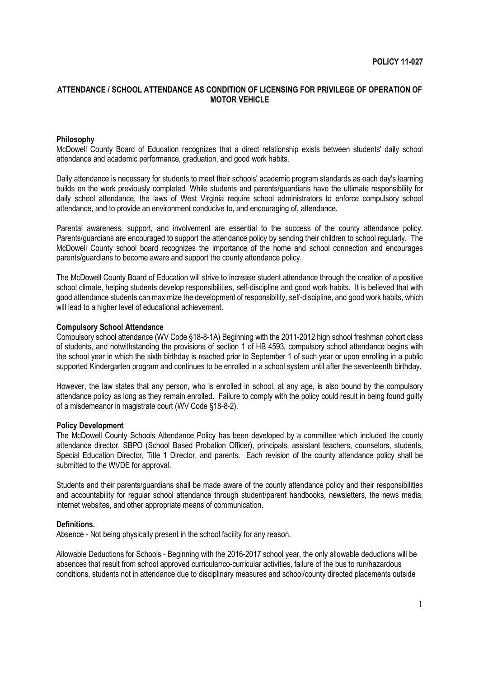## **ATTENDANCE / SCHOOL ATTENDANCE AS CONDITION OF LICENSING FOR PRIVILEGE OF OPERATION OF MOTOR VEHICLE**

### **Philosophy**

McDowell County Board of Education recognizes that a direct relationship exists between students' daily school attendance and academic performance, graduation, and good work habits.

Daily attendance is necessary for students to meet their schools' academic program standards as each day's learning builds on the work previously completed. While students and parents/guardians have the ultimate responsibility for daily school attendance, the laws of West Virginia require school administrators to enforce compulsory school attendance, and to provide an environment conducive to, and encouraging of, attendance.

Parental awareness, support, and involvement are essential to the success of the county attendance policy. Parents/guardians are encouraged to support the attendance policy by sending their children to school regularly. The McDowell County school board recognizes the importance of the home and school connection and encourages parents/guardians to become aware and support the county attendance policy.

The McDowell County Board of Education will strive to increase student attendance through the creation of a positive school climate, helping students develop responsibilities, self-discipline and good work habits. It is believed that with good attendance students can maximize the development of responsibility, self-discipline, and good work habits, which will lead to a higher level of educational achievement.

#### **Compulsory School Attendance**

Compulsory school attendance (WV Code §18-8-1A) Beginning with the 2011-2012 high school freshman cohort class of students, and notwithstanding the provisions of section 1 of HB 4593, compulsory school attendance begins with the school year in which the sixth birthday is reached prior to September 1 of such year or upon enrolling in a public supported Kindergarten program and continues to be enrolled in a school system until after the seventeenth birthday.

However, the law states that any person, who is enrolled in school, at any age, is also bound by the compulsory attendance policy as long as they remain enrolled. Failure to comply with the policy could result in being found guilty of a misdemeanor in magistrate court (WV Code §18-8-2).

#### **Policy Development**

The McDowell County Schools Attendance Policy has been developed by a committee which included the county attendance director, SBPO (School Based Probation Officer), principals, assistant teachers, counselors, students, Special Education Director, Title 1 Director, and parents. Each revision of the county attendance policy shall be submitted to the WVDE for approval.

Students and their parents/guardians shall be made aware of the county attendance policy and their responsibilities and accountability for regular school attendance through student/parent handbooks, newsletters, the news media, internet websites, and other appropriate means of communication.

#### **Definitions.**

Absence - Not being physically present in the school facility for any reason.

Allowable Deductions for Schools - Beginning with the 2016-2017 school year, the only allowable deductions will be absences that result from school approved curricular/co-curricular activities, failure of the bus to run/hazardous conditions, students not in attendance due to disciplinary measures and school/county directed placements outside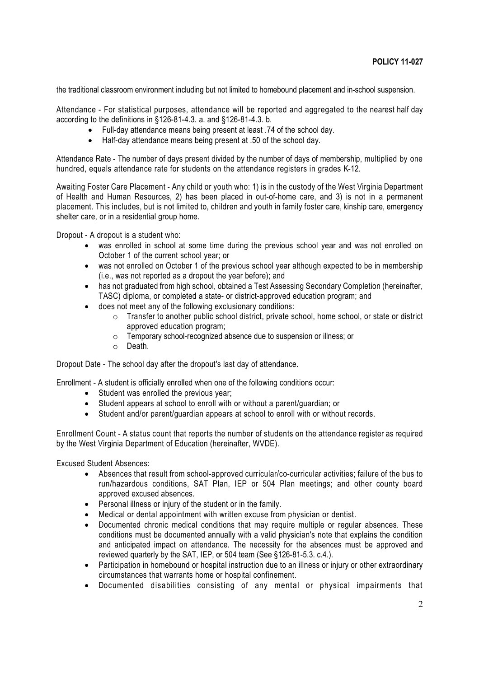the traditional classroom environment including but not limited to homebound placement and in-school suspension.

Attendance - For statistical purposes, attendance will be reported and aggregated to the nearest half day according to the definitions in §126-81-4.3. a. and §126-81-4.3. b.

- Full-day attendance means being present at least .74 of the school day.
- Half-day attendance means being present at .50 of the school day.

Attendance Rate - The number of days present divided by the number of days of membership, multiplied by one hundred, equals attendance rate for students on the attendance registers in grades K-12.

Awaiting Foster Care Placement - Any child or youth who: 1) is in the custody of the West Virginia Department of Health and Human Resources, 2) has been placed in out-of-home care, and 3) is not in a permanent placement. This includes, but is not limited to, children and youth in family foster care, kinship care, emergency shelter care, or in a residential group home.

Dropout - A dropout is a student who:

- was enrolled in school at some time during the previous school year and was not enrolled on October 1 of the current school year; or
- was not enrolled on October 1 of the previous school year although expected to be in membership (i.e., was not reported as a dropout the year before); and
- has not graduated from high school, obtained a Test Assessing Secondary Completion (hereinafter, TASC) diploma, or completed a state- or district-approved education program; and
- does not meet any of the following exclusionary conditions:
	- $\circ$  Transfer to another public school district, private school, home school, or state or district approved education program;
	- o Temporary school-recognized absence due to suspension or illness; or
	- o Death.

Dropout Date - The school day after the dropout's last day of attendance.

Enrollment - A student is officially enrolled when one of the following conditions occur:

- Student was enrolled the previous year:
- Student appears at school to enroll with or without a parent/guardian; or
- Student and/or parent/guardian appears at school to enroll with or without records.

Enrollment Count - A status count that reports the number of students on the attendance register as required by the West Virginia Department of Education (hereinafter, WVDE).

Excused Student Absences:

- Absences that result from school-approved curricular/co-curricular activities; failure of the bus to run/hazardous conditions, SAT Plan, IEP or 504 Plan meetings; and other county board approved excused absences.
- Personal illness or injury of the student or in the family.
- Medical or dental appointment with written excuse from physician or dentist.
- Documented chronic medical conditions that may require multiple or regular absences. These conditions must be documented annually with a valid physician's note that explains the condition and anticipated impact on attendance. The necessity for the absences must be approved and reviewed quarterly by the SAT, IEP, or 504 team (See §126-81-5.3. c.4.).
- Participation in homebound or hospital instruction due to an illness or injury or other extraordinary circumstances that warrants home or hospital confinement.
- Documented disabilities consisting of any mental or physical impairments that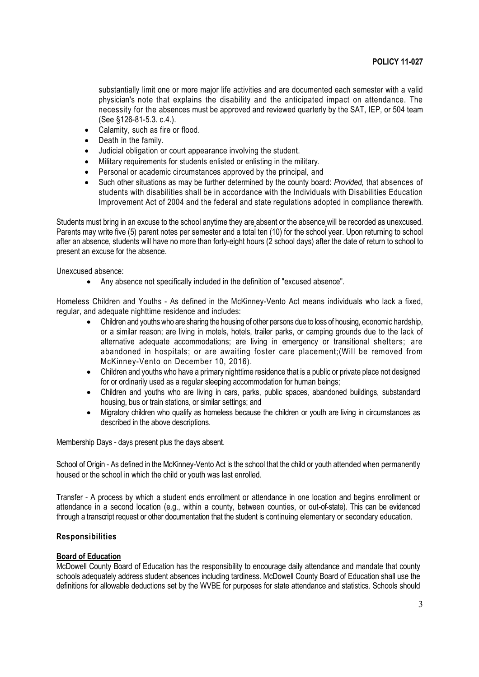substantially limit one or more major life activities and are documented each semester with a valid physician's note that explains the disability and the anticipated impact on attendance. The necessity for the absences must be approved and reviewed quarterly by the SAT, IEP, or 504 team (See §126-81-5.3. c.4.).

- Calamity, such as fire or flood.
- Death in the family.
- Judicial obligation or court appearance involving the student.
- Military requirements for students enlisted or enlisting in the military.
- Personal or academic circumstances approved by the principal, and
- Such other situations as may be further determined by the county board: *Provided,* that absences of students with disabilities shall be in accordance with the Individuals with Disabilities Education Improvement Act of 2004 and the federal and state regulations adopted in compliance therewith.

Students must bring in an excuse to the school anytime they are absent or the absence will be recorded as unexcused. Parents may write five (5) parent notes per semester and a total ten (10) for the school year. Upon returning to school after an absence, students will have no more than forty-eight hours (2 school days) after the date of return to school to present an excuse for the absence.

Unexcused absence:

Any absence not specifically included in the definition of "excused absence".

Homeless Children and Youths - As defined in the McKinney-Vento Act means individuals who lack a fixed, regular, and adequate nighttime residence and includes:

- Children and youths who are sharing the housing of other persons due to loss of housing, economic hardship, or a similar reason; are living in motels, hotels, trailer parks, or camping grounds due to the lack of alternative adequate accommodations; are living in emergency or transitional shelters; are abandoned in hospitals; or are awaiting foster care placement;(Will be removed from McKinney-Vento on December 10, 2016).
- Children and youths who have a primary nighttime residence that is a public or private place not designed for or ordinarily used as a regular sleeping accommodation for human beings;
- Children and youths who are living in cars, parks, public spaces, abandoned buildings, substandard housing, bus or train stations, or similar settings; and
- Migratory children who qualify as homeless because the children or youth are living in circumstances as described in the above descriptions.

Membership Days - days present plus the days absent.

School of Origin - As defined in the McKinney-Vento Act is the school that the child or youth attended when permanently housed or the school in which the child or youth was last enrolled.

Transfer - A process by which a student ends enrollment or attendance in one location and begins enrollment or attendance in a second location (e.g., within a county, between counties, or out-of-state). This can be evidenced through a transcript request or other documentation that the student is continuing elementary or secondary education.

# **Responsibilities**

#### **Board of Education**

McDowell County Board of Education has the responsibility to encourage daily attendance and mandate that county schools adequately address student absences including tardiness. McDowell County Board of Education shall use the definitions for allowable deductions set by the WVBE for purposes for state attendance and statistics. Schools should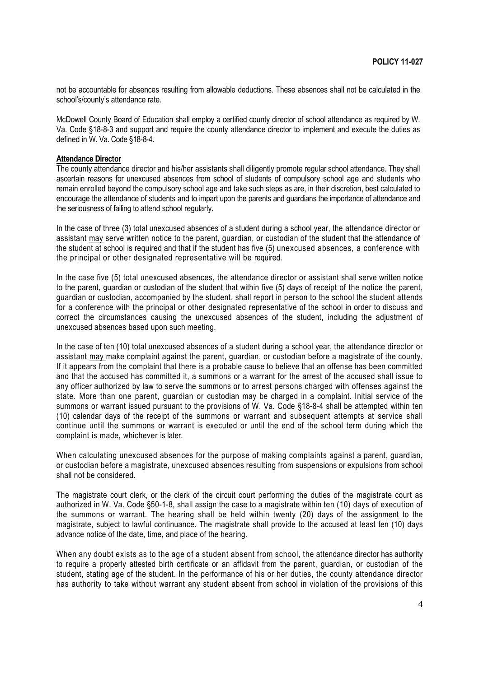not be accountable for absences resulting from allowable deductions. These absences shall not be calculated in the school's/county's attendance rate.

McDowell County Board of Education shall employ a certified county director of school attendance as required by W. Va. Code §18-8-3 and support and require the county attendance director to implement and execute the duties as defined in W. Va. Code §18-8-4.

#### **Attendance Director**

The county attendance director and his/her assistants shall diligently promote regular school attendance. They shall ascertain reasons for unexcused absences from school of students of compulsory school age and students who remain enrolled beyond the compulsory school age and take such steps as are, in their discretion, best calculated to encourage the attendance of students and to impart upon the parents and guardians the importance of attendance and the seriousness of failing to attend school regularly.

In the case of three (3) total unexcused absences of a student during a school year, the attendance director or assistant may serve written notice to the parent, guardian, or custodian of the student that the attendance of the student at school is required and that if the student has five (5) unexcused absences, a conference with the principal or other designated representative will be required.

In the case five (5) total unexcused absences, the attendance director or assistant shall serve written notice to the parent, guardian or custodian of the student that within five (5) days of receipt of the notice the parent, guardian or custodian, accompanied by the student, shall report in person to the school the student attends for a conference with the principal or other designated representative of the school in order to discuss and correct the circumstances causing the unexcused absences of the student, including the adjustment of unexcused absences based upon such meeting.

In the case of ten (10) total unexcused absences of a student during a school year, the attendance director or assistant may make complaint against the parent, guardian, or custodian before a magistrate of the county. If it appears from the complaint that there is a probable cause to believe that an offense has been committed and that the accused has committed it, a summons or a warrant for the arrest of the accused shall issue to any officer authorized by law to serve the summons or to arrest persons charged with offenses against the state. More than one parent, guardian or custodian may be charged in a complaint. Initial service of the summons or warrant issued pursuant to the provisions of W. Va. Code §18-8-4 shall be attempted within ten (10) calendar days of the receipt of the summons or warrant and subsequent attempts at service shall continue until the summons or warrant is executed or until the end of the school term during which the complaint is made, whichever is later.

When calculating unexcused absences for the purpose of making complaints against a parent, quardian, or custodian before a magistrate, unexcused absences resulting from suspensions or expulsions from school shall not be considered.

The magistrate court clerk, or the clerk of the circuit court performing the duties of the magistrate court as authorized in W. Va. Code §50-1-8, shall assign the case to a magistrate within ten (10) days of execution of the summons or warrant. The hearing shall be held within twenty (20) days of the assignment to the magistrate, subject to lawful continuance. The magistrate shall provide to the accused at least ten (10) days advance notice of the date, time, and place of the hearing.

When any doubt exists as to the age of a student absent from school, the attendance director has authority to require a properly attested birth certificate or an affidavit from the parent, guardian, or custodian of the student, stating age of the student. In the performance of his or her duties, the county attendance director has authority to take without warrant any student absent from school in violation of the provisions of this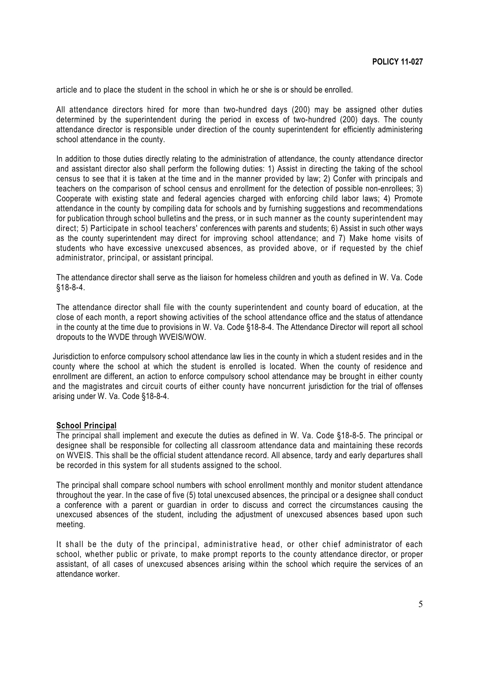article and to place the student in the school in which he or she is or should be enrolled.

All attendance directors hired for more than two-hundred days (200) may be assigned other duties determined by the superintendent during the period in excess of two-hundred (200) days. The county attendance director is responsible under direction of the county superintendent for efficiently administering school attendance in the county.

In addition to those duties directly relating to the administration of attendance, the county attendance director and assistant director also shall perform the following duties: 1) Assist in directing the taking of the school census to see that it is taken at the time and in the manner provided by law; 2) Confer with principals and teachers on the comparison of school census and enrollment for the detection of possible non-enrollees; 3) Cooperate with existing state and federal agencies charged with enforcing child labor laws; 4) Promote attendance in the county by compiling data for schools and by furnishing suggestions and recommendations for publication through school bulletins and the press, or in such manner as the county superintendent may direct; 5) Participate in school teachers' conferences with parents and students; 6) Assist in such other ways as the county superintendent may direct for improving school attendance; and 7) Make home visits of students who have excessive unexcused absences, as provided above, or if requested by the chief administrator, principal, or assistant principal.

The attendance director shall serve as the liaison for homeless children and youth as defined in W. Va. Code §18-8-4.

The attendance director shall file with the county superintendent and county board of education, at the close of each month, a report showing activities of the school attendance office and the status of attendance in the county at the time due to provisions in W. Va. Code §18-8-4. The Attendance Director will report all school dropouts to the WVDE through WVEIS/WOW.

Jurisdiction to enforce compulsory school attendance law lies in the county in which a student resides and in the county where the school at which the student is enrolled is located. When the county of residence and enrollment are different, an action to enforce compulsory school attendance may be brought in either county and the magistrates and circuit courts of either county have noncurrent jurisdiction for the trial of offenses arising under W. Va. Code §18-8-4.

#### **School Principal**

The principal shall implement and execute the duties as defined in W. Va. Code §18-8-5. The principal or designee shall be responsible for collecting all classroom attendance data and maintaining these records on WVEIS. This shall be the official student attendance record. All absence, tardy and early departures shall be recorded in this system for all students assigned to the school.

The principal shall compare school numbers with school enrollment monthly and monitor student attendance throughout the year. In the case of five (5) total unexcused absences, the principal or a designee shall conduct a conference with a parent or guardian in order to discuss and correct the circumstances causing the unexcused absences of the student, including the adjustment of unexcused absences based upon such meeting.

It shall be the duty of the principal, administrative head, or other chief administrator of each school, whether public or private, to make prompt reports to the county attendance director, or proper assistant, of all cases of unexcused absences arising within the school which require the services of an attendance worker.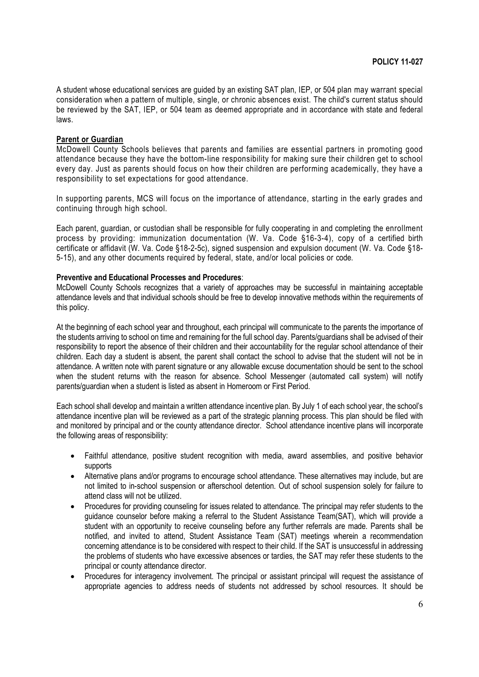A student whose educational services are guided by an existing SAT plan, IEP, or 504 plan may warrant special consideration when a pattern of multiple, single, or chronic absences exist. The child's current status should be reviewed by the SAT, IEP, or 504 team as deemed appropriate and in accordance with state and federal laws.

### **Parent or Guardian**

McDowell County Schools believes that parents and families are essential partners in promoting good attendance because they have the bottom-line responsibility for making sure their children get to school every day. Just as parents should focus on how their children are performing academically, they have a responsibility to set expectations for good attendance.

In supporting parents, MCS will focus on the importance of attendance, starting in the early grades and continuing through high school.

Each parent, guardian, or custodian shall be responsible for fully cooperating in and completing the enrollment process by providing: immunization documentation (W. Va. Code §16-3-4), copy of a certified birth certificate or affidavit (W. Va. Code §18-2-5c), signed suspension and expulsion document (W. Va. Code §18- 5-15), and any other documents required by federal, state, and/or local policies or code.

# **Preventive and Educational Processes and Procedures**:

McDowell County Schools recognizes that a variety of approaches may be successful in maintaining acceptable attendance levels and that individual schools should be free to develop innovative methods within the requirements of this policy.

At the beginning of each school year and throughout, each principal will communicate to the parents the importance of the students arriving to school on time and remaining for the full school day. Parents/guardians shall be advised of their responsibility to report the absence of their children and their accountability for the regular school attendance of their children. Each day a student is absent, the parent shall contact the school to advise that the student will not be in attendance. A written note with parent signature or any allowable excuse documentation should be sent to the school when the student returns with the reason for absence. School Messenger (automated call system) will notify parents/guardian when a student is listed as absent in Homeroom or First Period.

Each school shall develop and maintain a written attendance incentive plan. By July 1 of each school year, the school's attendance incentive plan will be reviewed as a part of the strategic planning process. This plan should be filed with and monitored by principal and or the county attendance director. School attendance incentive plans will incorporate the following areas of responsibility:

- Faithful attendance, positive student recognition with media, award assemblies, and positive behavior supports
- Alternative plans and/or programs to encourage school attendance. These alternatives may include, but are not limited to in-school suspension or afterschool detention. Out of school suspension solely for failure to attend class will not be utilized.
- Procedures for providing counseling for issues related to attendance. The principal may refer students to the guidance counselor before making a referral to the Student Assistance Team(SAT), which will provide a student with an opportunity to receive counseling before any further referrals are made. Parents shall be notified, and invited to attend, Student Assistance Team (SAT) meetings wherein a recommendation concerning attendance is to be considered with respect to their child. If the SAT is unsuccessful in addressing the problems of students who have excessive absences or tardies, the SAT may refer these students to the principal or county attendance director.
- Procedures for interagency involvement. The principal or assistant principal will request the assistance of appropriate agencies to address needs of students not addressed by school resources. It should be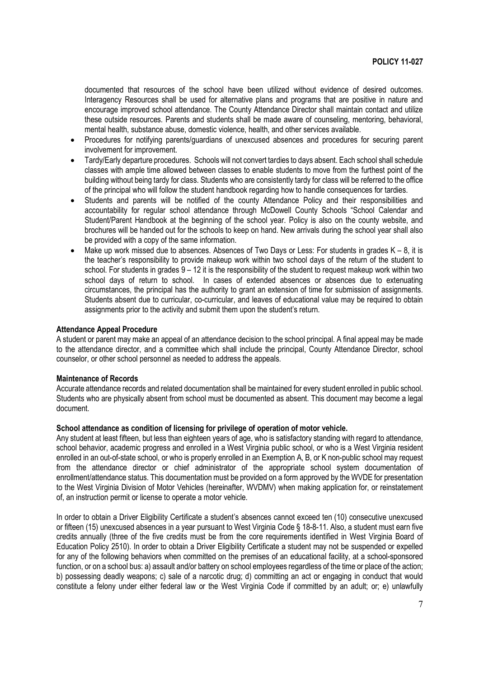documented that resources of the school have been utilized without evidence of desired outcomes. Interagency Resources shall be used for alternative plans and programs that are positive in nature and encourage improved school attendance. The County Attendance Director shall maintain contact and utilize these outside resources. Parents and students shall be made aware of counseling, mentoring, behavioral, mental health, substance abuse, domestic violence, health, and other services available.

- Procedures for notifying parents/guardians of unexcused absences and procedures for securing parent involvement for improvement.
- Tardy/Early departure procedures. Schools will not convert tardies to days absent. Each school shall schedule classes with ample time allowed between classes to enable students to move from the furthest point of the building without being tardy for class. Students who are consistently tardy for class will be referred to the office of the principal who will follow the student handbook regarding how to handle consequences for tardies.
- Students and parents will be notified of the county Attendance Policy and their responsibilities and accountability for regular school attendance through McDowell County Schools "School Calendar and Student/Parent Handbook at the beginning of the school year. Policy is also on the county website, and brochures will be handed out for the schools to keep on hand. New arrivals during the school year shall also be provided with a copy of the same information.
- Make up work missed due to absences. Absences of Two Days or Less: For students in grades  $K 8$ , it is the teacher's responsibility to provide makeup work within two school days of the return of the student to school. For students in grades  $9 - 12$  it is the responsibility of the student to request makeup work within two school days of return to school. In cases of extended absences or absences due to extenuating circumstances, the principal has the authority to grant an extension of time for submission of assignments. Students absent due to curricular, co-curricular, and leaves of educational value may be required to obtain assignments prior to the activity and submit them upon the student's return.

### **Attendance Appeal Procedure**

A student or parent may make an appeal of an attendance decision to the school principal. A final appeal may be made to the attendance director, and a committee which shall include the principal, County Attendance Director, school counselor, or other school personnel as needed to address the appeals.

#### **Maintenance of Records**

Accurate attendance records and related documentation shall be maintained for every student enrolled in public school. Students who are physically absent from school must be documented as absent. This document may become a legal document.

### **School attendance as condition of licensing for privilege of operation of motor vehicle.**

Any student at least fifteen, but less than eighteen years of age, who is satisfactory standing with regard to attendance, school behavior, academic progress and enrolled in a West Virginia public school, or who is a West Virginia resident enrolled in an out-of-state school, or who is properly enrolled in an Exemption A, B, or K non-public school may request from the attendance director or chief administrator of the appropriate school system documentation of enrollment/attendance status. This documentation must be provided on a form approved by the WVDE for presentation to the West Virginia Division of Motor Vehicles (hereinafter, WVDMV) when making application for, or reinstatement of, an instruction permit or license to operate a motor vehicle.

In order to obtain a Driver Eligibility Certificate a student's absences cannot exceed ten (10) consecutive unexcused or fifteen (15) unexcused absences in a year pursuant to West Virginia Code § 18-8-11. Also, a student must earn five credits annually (three of the five credits must be from the core requirements identified in West Virginia Board of Education Policy 2510). In order to obtain a Driver Eligibility Certificate a student may not be suspended or expelled for any of the following behaviors when committed on the premises of an educational facility, at a school-sponsored function, or on a school bus: a) assault and/or battery on school employees regardless of the time or place of the action; b) possessing deadly weapons; c) sale of a narcotic drug; d) committing an act or engaging in conduct that would constitute a felony under either federal law or the West Virginia Code if committed by an adult; or; e) unlawfully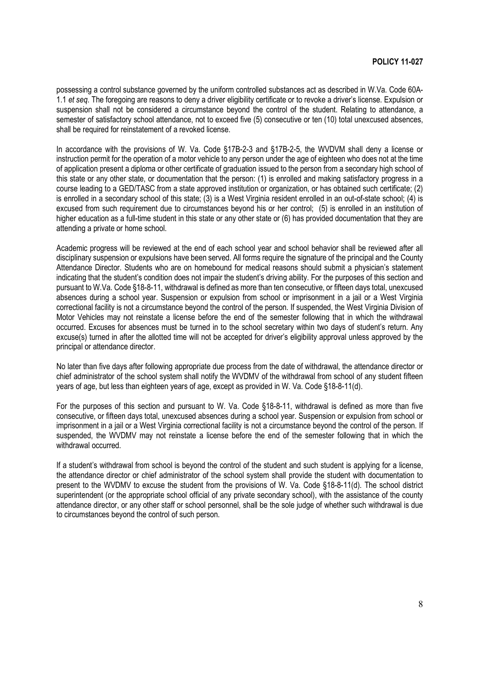possessing a control substance governed by the uniform controlled substances act as described in W.Va. Code 60A-1.1 *et seq*. The foregoing are reasons to deny a driver eligibility certificate or to revoke a driver's license. Expulsion or suspension shall not be considered a circumstance beyond the control of the student. Relating to attendance, a semester of satisfactory school attendance, not to exceed five (5) consecutive or ten (10) total unexcused absences, shall be required for reinstatement of a revoked license.

In accordance with the provisions of W. Va. Code §17B-2-3 and §17B-2-5, the WVDVM shall deny a license or instruction permit for the operation of a motor vehicle to any person under the age of eighteen who does not at the time of application present a diploma or other certificate of graduation issued to the person from a secondary high school of this state or any other state, or documentation that the person: (1) is enrolled and making satisfactory progress in a course leading to a GED/TASC from a state approved institution or organization, or has obtained such certificate; (2) is enrolled in a secondary school of this state; (3) is a West Virginia resident enrolled in an out-of-state school; (4) is excused from such requirement due to circumstances beyond his or her control; (5) is enrolled in an institution of higher education as a full-time student in this state or any other state or (6) has provided documentation that they are attending a private or home school.

Academic progress will be reviewed at the end of each school year and school behavior shall be reviewed after all disciplinary suspension or expulsions have been served. All forms require the signature of the principal and the County Attendance Director. Students who are on homebound for medical reasons should submit a physician's statement indicating that the student's condition does not impair the student's driving ability. For the purposes of this section and pursuant to W.Va. Code §18-8-11, withdrawal is defined as more than ten consecutive, or fifteen days total, unexcused absences during a school year. Suspension or expulsion from school or imprisonment in a jail or a West Virginia correctional facility is not a circumstance beyond the control of the person. If suspended, the West Virginia Division of Motor Vehicles may not reinstate a license before the end of the semester following that in which the withdrawal occurred. Excuses for absences must be turned in to the school secretary within two days of student's return. Any excuse(s) turned in after the allotted time will not be accepted for driver's eligibility approval unless approved by the principal or attendance director.

No later than five days after following appropriate due process from the date of withdrawal, the attendance director or chief administrator of the school system shall notify the WVDMV of the withdrawal from school of any student fifteen years of age, but less than eighteen years of age, except as provided in W. Va. Code §18-8-11(d).

For the purposes of this section and pursuant to W. Va. Code §18-8-11, withdrawal is defined as more than five consecutive, or fifteen days total, unexcused absences during a school year. Suspension or expulsion from school or imprisonment in a jail or a West Virginia correctional facility is not a circumstance beyond the control of the person. If suspended, the WVDMV may not reinstate a license before the end of the semester following that in which the withdrawal occurred.

If a student's withdrawal from school is beyond the control of the student and such student is applying for a license, the attendance director or chief administrator of the school system shall provide the student with documentation to present to the WVDMV to excuse the student from the provisions of W. Va. Code §18-8-11(d). The school district superintendent (or the appropriate school official of any private secondary school), with the assistance of the county attendance director, or any other staff or school personnel, shall be the sole judge of whether such withdrawal is due to circumstances beyond the control of such person.